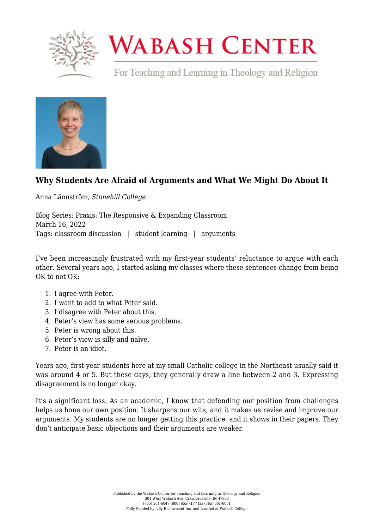

## **WABASH CENTER**

For Teaching and Learning in Theology and Religion



## **[Why Students Are Afraid of Arguments and What We Might Do About It](https://www.wabashcenter.wabash.edu/2022/03/why-students-are-afraid-of-arguments-and-what-we-might-do-about-it/)**

Anna Lännström, *Stonehill College*

Blog Series: Praxis: The Responsive & Expanding Classroom March 16, 2022 Tags: classroom discussion | student learning | arguments

I've been increasingly frustrated with my first-year students' reluctance to argue with each other. Several years ago, I started asking my classes where these sentences change from being OK to not OK:

- 1. I agree with Peter.
- 2. I want to add to what Peter said.
- 3. I disagree with Peter about this.
- 4. Peter's view has some serious problems.
- 5. Peter is wrong about this.
- 6. Peter's view is silly and naïve.
- 7. Peter is an idiot.

Years ago, first-year students here at my small Catholic college in the Northeast usually said it was around 4 or 5. But these days, they generally draw a line between 2 and 3. Expressing disagreement is no longer okay.

It's a significant loss. As an academic, I know that defending our position from challenges helps us hone our own position. It sharpens our wits, and it makes us revise and improve our arguments. My students are no longer getting this practice, and it shows in their papers. They don't anticipate basic objections and their arguments are weaker.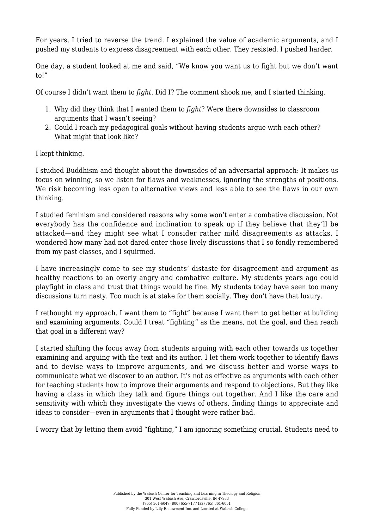For years, I tried to reverse the trend. I explained the value of academic arguments, and I pushed my students to express disagreement with each other. They resisted. I pushed harder.

One day, a student looked at me and said, "We know you want us to fight but we don't want to!"

Of course I didn't want them to *fight*. Did I? The comment shook me, and I started thinking.

- 1. Why did they think that I wanted them to *fight*? Were there downsides to classroom arguments that I wasn't seeing?
- 2. Could I reach my pedagogical goals without having students argue with each other? What might that look like?

I kept thinking.

I studied Buddhism and thought about the downsides of an adversarial approach: It makes us focus on winning, so we listen for flaws and weaknesses, ignoring the strengths of positions. We risk becoming less open to alternative views and less able to see the flaws in our own thinking.

I studied feminism and considered reasons why some won't enter a combative discussion. Not everybody has the confidence and inclination to speak up if they believe that they'll be attacked—and they might see what I consider rather mild disagreements as attacks. I wondered how many had not dared enter those lively discussions that I so fondly remembered from my past classes, and I squirmed.

I have increasingly come to see my students' distaste for disagreement and argument as healthy reactions to an overly angry and combative culture. My students years ago could playfight in class and trust that things would be fine. My students today have seen too many discussions turn nasty. Too much is at stake for them socially. They don't have that luxury.

I rethought my approach. I want them to "fight" because I want them to get better at building and examining arguments. Could I treat "fighting" as the means, not the goal, and then reach that goal in a different way?

I started shifting the focus away from students arguing with each other towards us together examining and arguing with the text and its author. I let them work together to identify flaws and to devise ways to improve arguments, and we discuss better and worse ways to communicate what we discover to an author. It's not as effective as arguments with each other for teaching students how to improve their arguments and respond to objections. But they like having a class in which they talk and figure things out together. And I like the care and sensitivity with which they investigate the views of others, finding things to appreciate and ideas to consider—even in arguments that I thought were rather bad.

I worry that by letting them avoid "fighting," I am ignoring something crucial. Students need to